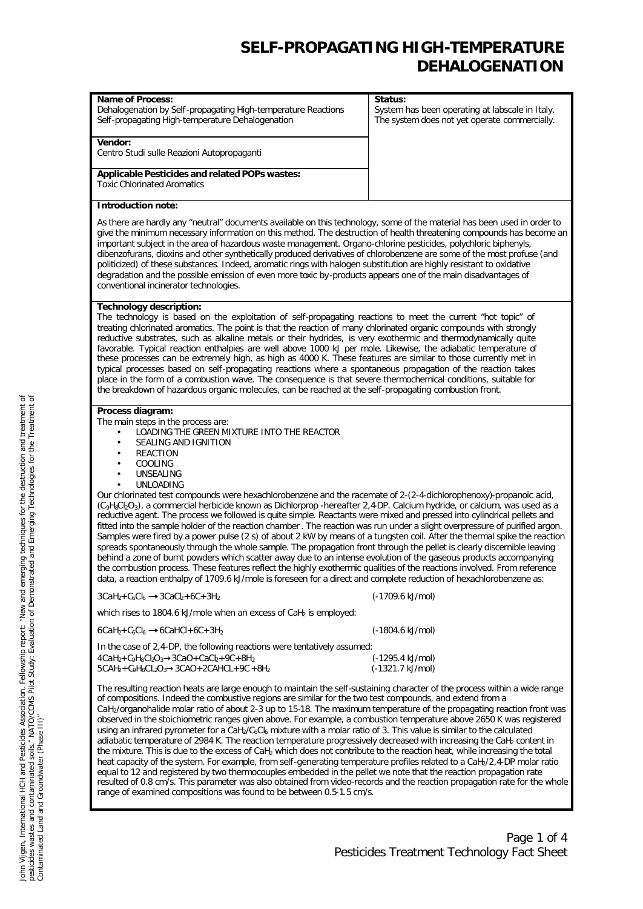| <b>Name of Process:</b><br>Dehalogenation by Self-propagating High-temperature Reactions<br>Self-propagating High-temperature Dehalogenation                                                                                                                                                                                                                                                                                                                                                                                                                                                                                                                                                                                                                                                                                                                                                                                                                                                                                                                                                                                                                                                                                                                                                                                                                                                                                                                    | Status:<br>System has been operating at labscale in Italy.<br>The system does not yet operate commercially. |
|-----------------------------------------------------------------------------------------------------------------------------------------------------------------------------------------------------------------------------------------------------------------------------------------------------------------------------------------------------------------------------------------------------------------------------------------------------------------------------------------------------------------------------------------------------------------------------------------------------------------------------------------------------------------------------------------------------------------------------------------------------------------------------------------------------------------------------------------------------------------------------------------------------------------------------------------------------------------------------------------------------------------------------------------------------------------------------------------------------------------------------------------------------------------------------------------------------------------------------------------------------------------------------------------------------------------------------------------------------------------------------------------------------------------------------------------------------------------|-------------------------------------------------------------------------------------------------------------|
| Vendor:<br>Centro Studi sulle Reazioni Autopropaganti                                                                                                                                                                                                                                                                                                                                                                                                                                                                                                                                                                                                                                                                                                                                                                                                                                                                                                                                                                                                                                                                                                                                                                                                                                                                                                                                                                                                           |                                                                                                             |
| Applicable Pesticides and related POPs wastes:<br><b>Toxic Chlorinated Aromatics</b>                                                                                                                                                                                                                                                                                                                                                                                                                                                                                                                                                                                                                                                                                                                                                                                                                                                                                                                                                                                                                                                                                                                                                                                                                                                                                                                                                                            |                                                                                                             |
| <b>Introduction note:</b>                                                                                                                                                                                                                                                                                                                                                                                                                                                                                                                                                                                                                                                                                                                                                                                                                                                                                                                                                                                                                                                                                                                                                                                                                                                                                                                                                                                                                                       |                                                                                                             |
| As there are hardly any "neutral" documents available on this technology, some of the material has been used in order to<br>give the minimum necessary information on this method. The destruction of health threatening compounds has become an<br>important subject in the area of hazardous waste management. Organo-chlorine pesticides, polychloric biphenyls,<br>dibenzofurans, dioxins and other synthetically produced derivatives of chlorobenzene are some of the most profuse (and<br>politicized) of these substances. Indeed, aromatic rings with halogen substitution are highly resistant to oxidative<br>degradation and the possible emission of even more toxic by-products appears one of the main disadvantages of<br>conventional incinerator technologies.                                                                                                                                                                                                                                                                                                                                                                                                                                                                                                                                                                                                                                                                                |                                                                                                             |
| <b>Technology description:</b><br>The technology is based on the exploitation of self-propagating reactions to meet the current "hot topic" of<br>treating chlorinated aromatics. The point is that the reaction of many chlorinated organic compounds with strongly<br>reductive substrates, such as alkaline metals or their hydrides, is very exothermic and thermodynamically quite<br>favorable. Typical reaction enthalpies are well above 1000 kJ per mole. Likewise, the adiabatic temperature of<br>these processes can be extremely high, as high as 4000 K. These features are similar to those currently met in<br>typical processes based on self-propagating reactions where a spontaneous propagation of the reaction takes<br>place in the form of a combustion wave. The consequence is that severe thermochemical conditions, suitable for<br>the breakdown of hazardous organic molecules, can be reached at the self-propagating combustion front.                                                                                                                                                                                                                                                                                                                                                                                                                                                                                          |                                                                                                             |
| Process diagram:<br>The main steps in the process are:<br>LOADING THE GREEN MIXTURE INTO THE REACTOR<br>$\bullet$<br>SEALING AND IGNITION<br>$\bullet$<br><b>REACTION</b><br>$\bullet$<br>COOLING<br>$\bullet$<br>UNSEALING<br>٠<br><b>UNLOADING</b><br>$\bullet$<br>Our chlorinated test compounds were hexachlorobenzene and the racemate of 2-(2-4-dichlorophenoxy)-propanoic acid,<br>(C <sub>9</sub> H <sub>8</sub> Cl <sub>2</sub> O <sub>3</sub> ), a commercial herbicide known as Dichlorprop - hereafter 2,4DP. Calcium hydride, or calcium, was used as a<br>reductive agent. The process we followed is quite simple. Reactants were mixed and pressed into cylindrical pellets and<br>fitted into the sample holder of the reaction chamber. The reaction was run under a slight overpressure of purified argon.<br>Samples were fired by a power pulse (2 s) of about 2 kW by means of a tungsten coil. After the thermal spike the reaction<br>spreads spontaneously through the whole sample. The propagation front through the pellet is clearly discernible leaving<br>behind a zone of burnt powders which scatter away due to an intense evolution of the gaseous products accompanying<br>the combustion process. These features reflect the highly exothermic qualities of the reactions involved. From reference<br>data, a reaction enthalpy of 1709.6 kJ/mole is foreseen for a direct and complete reduction of hexachlorobenzene as: |                                                                                                             |
| $3CaH2+C6Cl6$ $B3CaCb+6C+3H2$                                                                                                                                                                                                                                                                                                                                                                                                                                                                                                                                                                                                                                                                                                                                                                                                                                                                                                                                                                                                                                                                                                                                                                                                                                                                                                                                                                                                                                   | (-1709.6 kJ/mol)                                                                                            |
| which rises to 1804.6 kJ/mole when an excess of CaH <sub>2</sub> is employed:                                                                                                                                                                                                                                                                                                                                                                                                                                                                                                                                                                                                                                                                                                                                                                                                                                                                                                                                                                                                                                                                                                                                                                                                                                                                                                                                                                                   |                                                                                                             |
| $6CaH2+C6Cl6$ @6CaHCl+6C+3H <sub>2</sub>                                                                                                                                                                                                                                                                                                                                                                                                                                                                                                                                                                                                                                                                                                                                                                                                                                                                                                                                                                                                                                                                                                                                                                                                                                                                                                                                                                                                                        | (-1804.6 kJ/mol)                                                                                            |
| In the case of 2,4-DP, the following reactions were tentatively assumed:<br>$4CaH2+C9H8Cl2O3\rightarrow 3CaO + CaCl2 + 9C + 8H2$<br>$5CAH2+C9H8CL2O3\rightarrow 3CAO + 2CAHCL + 9C + 8H2$                                                                                                                                                                                                                                                                                                                                                                                                                                                                                                                                                                                                                                                                                                                                                                                                                                                                                                                                                                                                                                                                                                                                                                                                                                                                       | (-1295.4 kJ/mol)<br>(-1321.7 kJ/mol)                                                                        |
| The resulting reaction heats are large enough to maintain the self-sustaining character of the process within a wide range<br>of compositions. Indeed the combustive regions are similar for the two test compounds, and extend from a<br>CaH <sub>2</sub> /organohalide molar ratio of about 2-3 up to 15-18. The maximum temperature of the propagating reaction front was<br>observed in the stoichiometric ranges given above. For example, a combustion temperature above 2650 K was registered<br>using an infrared pyrometer for a CaH <sub>2</sub> /C <sub>6</sub> Cl <sub>6</sub> mixture with a molar ratio of 3. This value is similar to the calculated<br>adiabatic temperature of 2984 K. The reaction temperature progressively decreased with increasing the CaH2 content in<br>the mixture. This is due to the excess of CaH <sub>2</sub> which does not contribute to the reaction heat, while increasing the total<br>heat capacity of the system. For example, from self-generating temperature profiles related to a CaH <sub>2</sub> /2,4-DP molar ratio<br>equal to 12 and registered by two thermocouples embedded in the pellet we note that the reaction propagation rate<br>resulted of 0.8 cm/s. This parameter was also obtained from video-records and the reaction propagation rate for the whole<br>range of examined compositions was found to be between 0.5-1.5 cm/s.                                                        |                                                                                                             |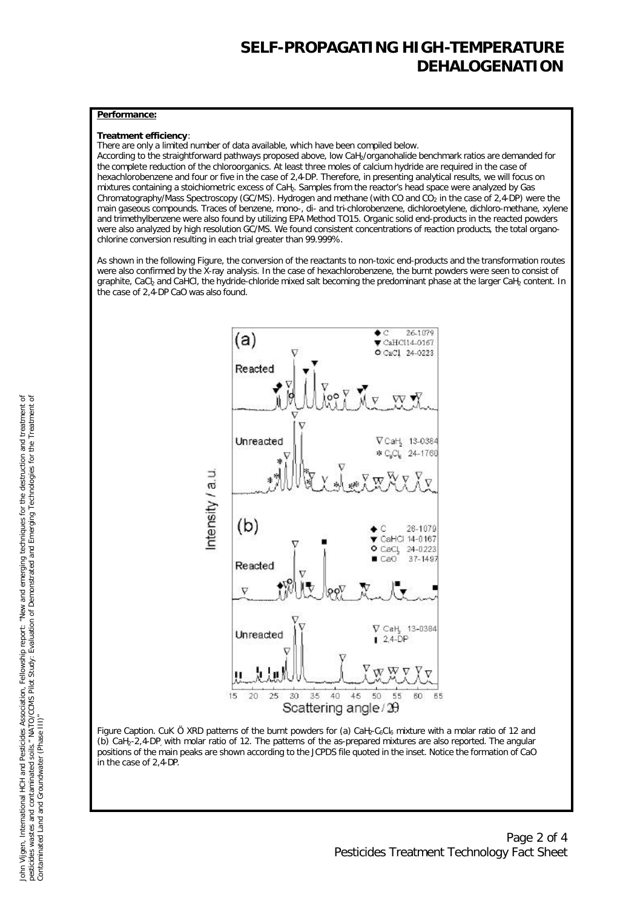#### **Performance:**

#### **Treatment efficiency**:

There are only a limited number of data available, which have been compiled below.

According to the straightforward pathways proposed above, low CaH2/organohalide benchmark ratios are demanded for the complete reduction of the chloroorganics. At least three moles of calcium hydride are required in the case of hexachlorobenzene and four or five in the case of 2,4-DP. Therefore, in presenting analytical results, we will focus on mixtures containing a stoichiometric excess of CaH2. Samples from the reactor's head space were analyzed by Gas Chromatography/Mass Spectroscopy (GC/MS). Hydrogen and methane (with CO and CO<sub>2</sub> in the case of 2,4-DP) were the main gaseous compounds. Traces of benzene, mono-, di- and tri-chlorobenzene, dichloroetylene, dichloro-methane, xylene and trimethylbenzene were also found by utilizing EPA Method TO15. Organic solid end-products in the reacted powders were also analyzed by high resolution GC/MS. We found consistent concentrations of reaction products, the total organochlorine conversion resulting in each trial greater than 99.999%.

As shown in the following Figure, the conversion of the reactants to non-toxic end-products and the transformation routes were also confirmed by the X-ray analysis. In the case of hexachlorobenzene, the burnt powders were seen to consist of graphite, CaC<sub>b</sub> and CaHCl, the hydride-chloride mixed salt becoming the predominant phase at the larger CaH<sub>2</sub> content. In the case of 2,4-DP CaO was also found.



Figure Caption. CuK Ö XRD patterns of the burnt powders for (a) CaH<sub>2</sub>-C<sub>6</sub>C<sub>l6</sub> mixture with a molar ratio of 12 and (b) CaH2-2,4-DP, with molar ratio of 12. The patterns of the as-prepared mixtures are also reported. The angular positions of the main peaks are shown according to the JCPDS file quoted in the inset. Notice the formation of CaO in the case of 2,4-DP.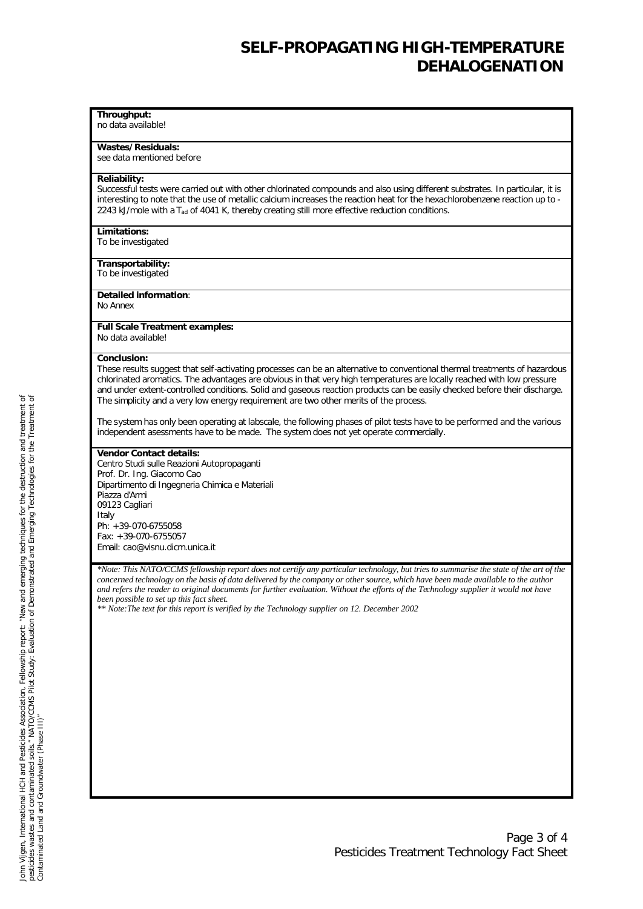### **Throughput:**

no data available!

**Wastes/Residuals:** see data mentioned before

#### **Reliability:**

Successful tests were carried out with other chlorinated compounds and also using different substrates. In particular, it is interesting to note that the use of metallic calcium increases the reaction heat for the hexachlorobenzene reaction up to - 2243 kJ/mole with a *Tad* of 4041 K, thereby creating still more effective reduction conditions.

#### **Limitations:**

To be investigated

**Transportability:**  To be investigated

#### **Detailed information**:

No Annex

#### **Full Scale Treatment examples:** No data available!

### **Conclusion:**

These results suggest that self-activating processes can be an alternative to conventional thermal treatments of hazardous chlorinated aromatics. The advantages are obvious in that very high temperatures are locally reached with low pressure and under extent-controlled conditions. Solid and gaseous reaction products can be easily checked before their discharge. The simplicity and a very low energy requirement are two other merits of the process.

The system has only been operating at labscale, the following phases of pilot tests have to be performed and the various independent asessments have to be made. The system does not yet operate commercially.

#### **Vendor Contact details:**

Centro Studi sulle Reazioni Autopropaganti Prof. Dr. Ing. Giacomo Cao Dipartimento di Ingegneria Chimica e Materiali Piazza d'Armi 09123 Cagliari Italy Ph: +39-070-6755058 Fax: +39-070-6755057 Email: cao@visnu.dicm.unica.it

*\*Note: This NATO/CCMS fellowship report does not certify any particular technology, but tries to summarise the state of the art of the concerned technology on the basis of data delivered by the company or other source, which have been made available to the author and refers the reader to original documents for further evaluation. Without the efforts of the Technology supplier it would not have been possible to set up this fact sheet.*

*\*\* Note:The text for this report is verified by the Technology supplier on 12. December 2002*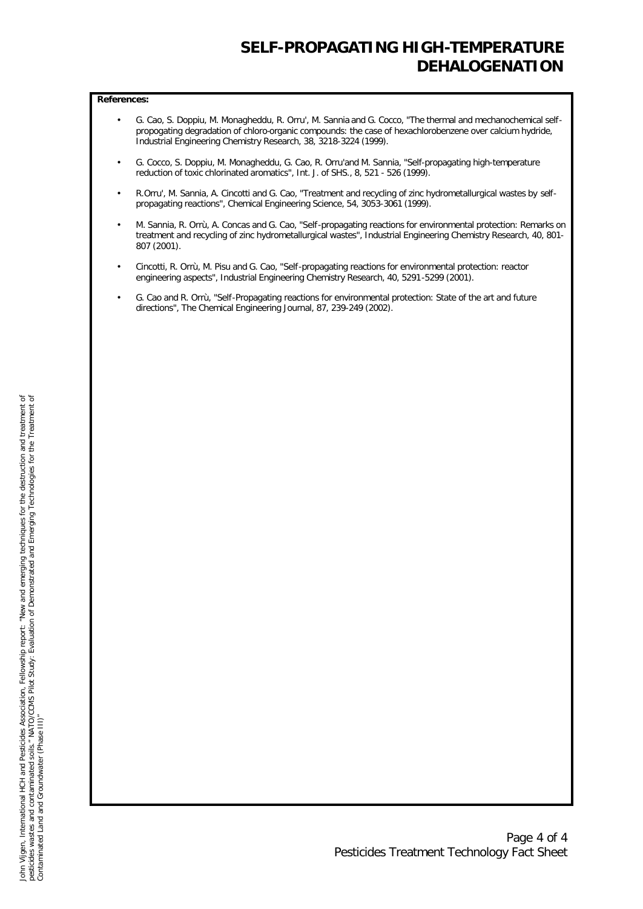#### **References:**

- G. Cao, S. Doppiu, M. Monagheddu, R. Orru', M. Sannia and G. Cocco, "The thermal and mechanochemical selfpropogating degradation of chloro-organic compounds: the case of hexachlorobenzene over calcium hydride, Industrial Engineering Chemistry Research, 38, 3218-3224 (1999).
- G. Cocco, S. Doppiu, M. Monagheddu, G. Cao, R. Orru'and M. Sannia, "Self-propagating high-temperature reduction of toxic chlorinated aromatics", Int. J. of SHS., 8, 521 - 526 (1999).
- R.Orru', M. Sannia, A. Cincotti and G. Cao, "Treatment and recycling of zinc hydrometallurgical wastes by selfpropagating reactions", Chemical Engineering Science, 54, 3053-3061 (1999).
- M. Sannia, R. Orrù, A. Concas and G. Cao, "Self-propagating reactions for environmental protection: Remarks on treatment and recycling of zinc hydrometallurgical wastes", Industrial Engineering Chemistry Research, 40, 801- 807 (2001).
- Cincotti, R. Orrù, M. Pisu and G. Cao, "Self-propagating reactions for environmental protection: reactor engineering aspects", Industrial Engineering Chemistry Research, 40, 5291-5299 (2001).
- G. Cao and R. Orrù, "Self-Propagating reactions for environmental protection: State of the art and future directions", The Chemical Engineering Journal, 87, 239-249 (2002).